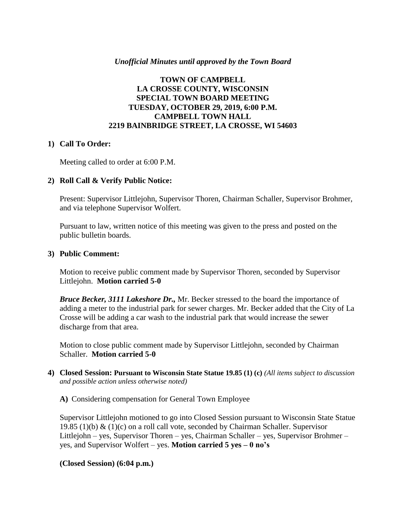## *Unofficial Minutes until approved by the Town Board*

# **TOWN OF CAMPBELL LA CROSSE COUNTY, WISCONSIN SPECIAL TOWN BOARD MEETING TUESDAY, OCTOBER 29, 2019, 6:00 P.M. CAMPBELL TOWN HALL 2219 BAINBRIDGE STREET, LA CROSSE, WI 54603**

### **1) Call To Order:**

Meeting called to order at 6:00 P.M.

### **2) Roll Call & Verify Public Notice:**

Present: Supervisor Littlejohn, Supervisor Thoren, Chairman Schaller, Supervisor Brohmer, and via telephone Supervisor Wolfert.

Pursuant to law, written notice of this meeting was given to the press and posted on the public bulletin boards.

#### **3) Public Comment:**

Motion to receive public comment made by Supervisor Thoren, seconded by Supervisor Littlejohn. **Motion carried 5-0**

*Bruce Becker, 3111 Lakeshore Dr.,* Mr. Becker stressed to the board the importance of adding a meter to the industrial park for sewer charges. Mr. Becker added that the City of La Crosse will be adding a car wash to the industrial park that would increase the sewer discharge from that area.

Motion to close public comment made by Supervisor Littlejohn, seconded by Chairman Schaller. **Motion carried 5-0**

**4) Closed Session: Pursuant to Wisconsin State Statue 19.85 (1) (c)** *(All items subject to discussion and possible action unless otherwise noted)*

**A)** Considering compensation for General Town Employee

Supervisor Littlejohn motioned to go into Closed Session pursuant to Wisconsin State Statue 19.85 (1)(b)  $\&$  (1)(c) on a roll call vote, seconded by Chairman Schaller. Supervisor Littlejohn – yes, Supervisor Thoren – yes, Chairman Schaller – yes, Supervisor Brohmer – yes, and Supervisor Wolfert – yes. **Motion carried 5 yes – 0 no's**

### **(Closed Session) (6:04 p.m.)**